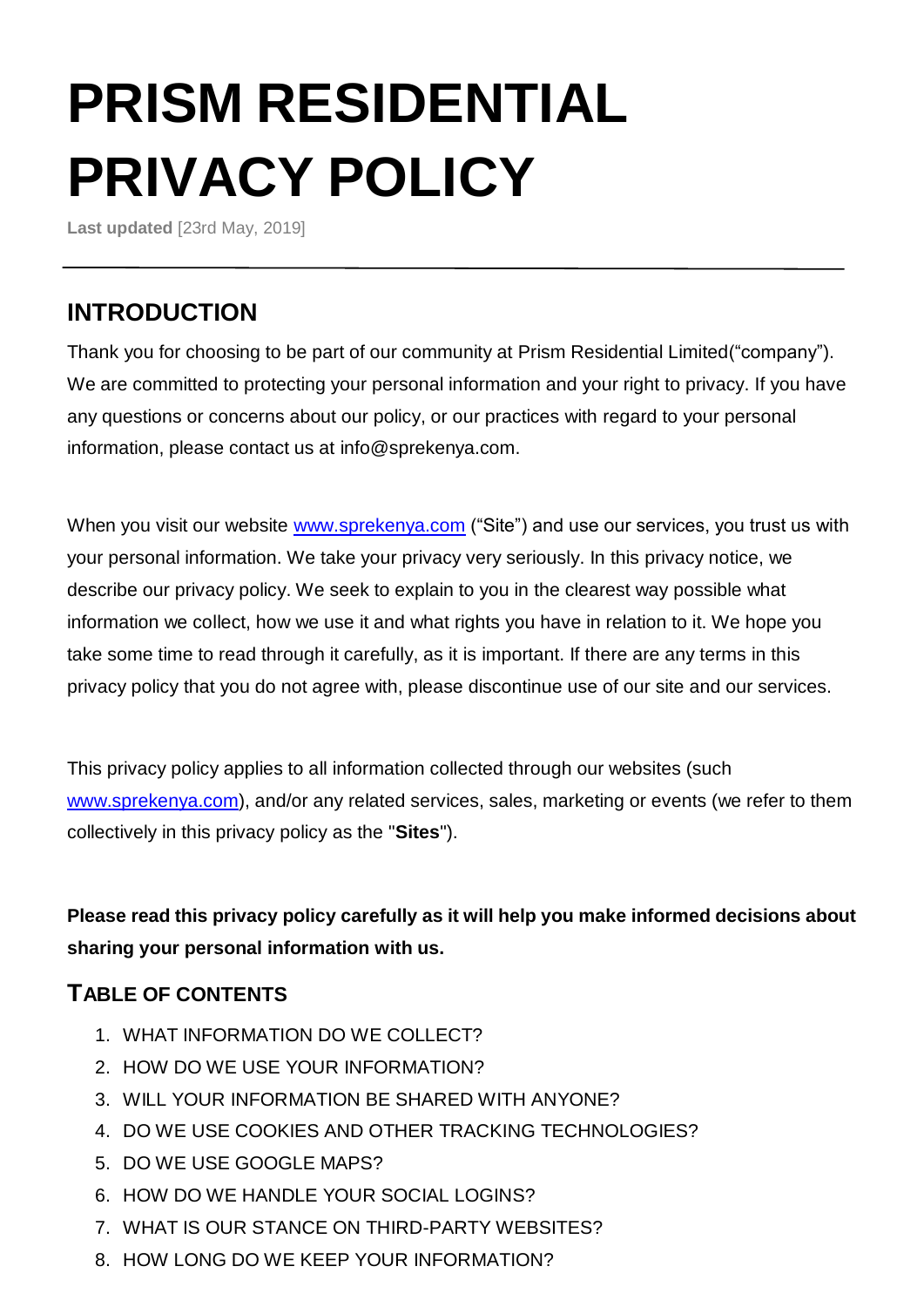# **PRISM RESIDENTIAL PRIVACY POLICY**

**Last updated** [23rd May, 2019]

# **INTRODUCTION**

Thank you for choosing to be part of our community at Prism Residential Limited("company"). We are committed to protecting your personal information and your right to privacy. If you have any questions or concerns about our policy, or our practices with regard to your personal information, please contact us at info@sprekenya.com.

When you visit our website [www.sprekenya.com](http://www.sprekenya.com/) ("Site") and use our services, you trust us with your personal information. We take your privacy very seriously. In this privacy notice, we describe our privacy policy. We seek to explain to you in the clearest way possible what information we collect, how we use it and what rights you have in relation to it. We hope you take some time to read through it carefully, as it is important. If there are any terms in this privacy policy that you do not agree with, please discontinue use of our site and our services.

This privacy policy applies to all information collected through our websites (such [www.sprekenya.com\)](http://www.sprekenya.com/), and/or any related services, sales, marketing or events (we refer to them collectively in this privacy policy as the "**Sites**").

**Please read this privacy policy carefully as it will help you make informed decisions about sharing your personal information with us.** 

## **TABLE OF CONTENTS**

- 1. WHAT INFORMATION DO WE COLLECT?
- 2. HOW DO WE USE YOUR INFORMATION?
- 3. WILL YOUR INFORMATION BE SHARED WITH ANYONE?
- 4. DO WE USE COOKIES AND OTHER TRACKING TECHNOLOGIES?
- 5. DO WE USE GOOGLE MAPS?
- 6. HOW DO WE HANDLE YOUR SOCIAL LOGINS?
- 7. WHAT IS OUR STANCE ON THIRD-PARTY WEBSITES?
- 8. HOW LONG DO WE KEEP YOUR INFORMATION?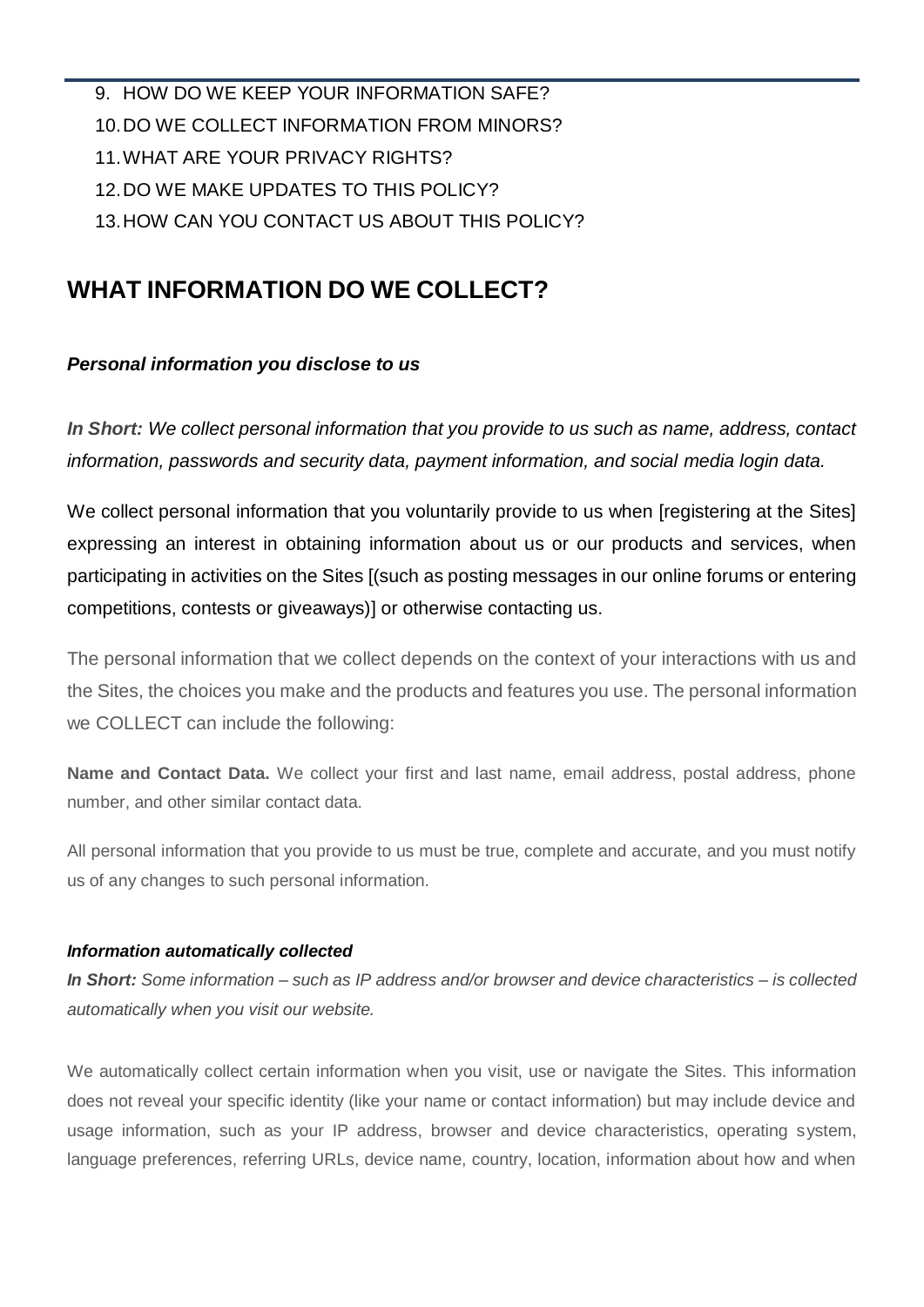9. HOW DO WE KEEP YOUR INFORMATION SAFE? 10.DO WE COLLECT INFORMATION FROM MINORS? 11.WHAT ARE YOUR PRIVACY RIGHTS? 12.DO WE MAKE UPDATES TO THIS POLICY? 13.HOW CAN YOU CONTACT US ABOUT THIS POLICY?

## **WHAT INFORMATION DO WE COLLECT?**

#### *Personal information you disclose to us*

*In Short: We collect personal information that you provide to us such as name, address, contact information, passwords and security data, payment information, and social media login data.*

We collect personal information that you voluntarily provide to us when [registering at the Sites] expressing an interest in obtaining information about us or our products and services, when participating in activities on the Sites [(such as posting messages in our online forums or entering competitions, contests or giveaways)] or otherwise contacting us.

The personal information that we collect depends on the context of your interactions with us and the Sites, the choices you make and the products and features you use. The personal information we COLLECT can include the following:

**Name and Contact Data.** We collect your first and last name, email address, postal address, phone number, and other similar contact data.

All personal information that you provide to us must be true, complete and accurate, and you must notify us of any changes to such personal information.

#### *Information automatically collected*

*In Short: Some information – such as IP address and/or browser and device characteristics – is collected automatically when you visit our website.* 

We automatically collect certain information when you visit, use or navigate the Sites. This information does not reveal your specific identity (like your name or contact information) but may include device and usage information, such as your IP address, browser and device characteristics, operating system, language preferences, referring URLs, device name, country, location, information about how and when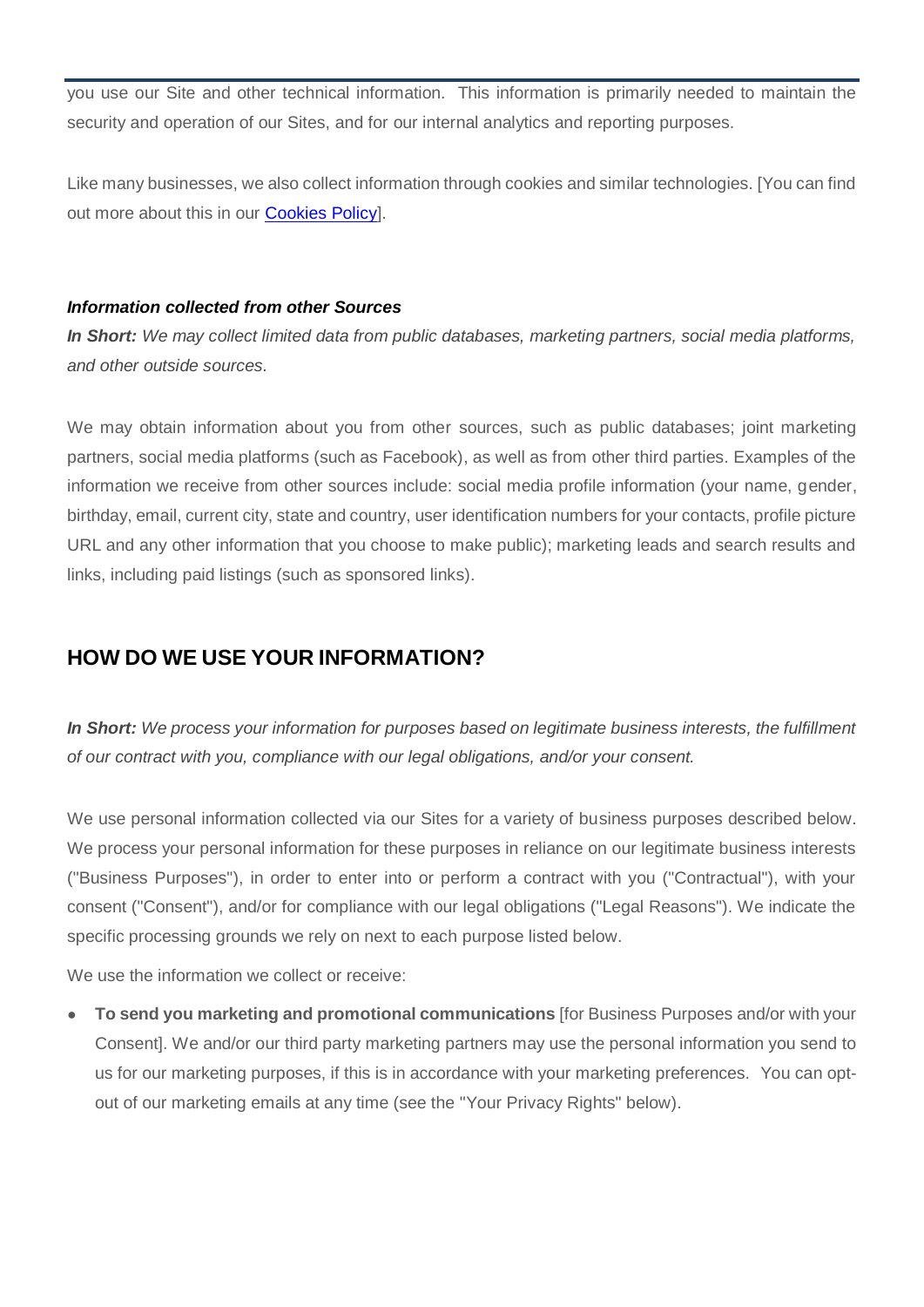you use our Site and other technical information. This information is primarily needed to maintain the security and operation of our Sites, and for our internal analytics and reporting purposes.

Like many businesses, we also collect information through cookies and similar technologies. [You can find out more about this in our **Cookies Policy**.

#### *Information collected from other Sources*

*In Short: We may collect limited data from public databases, marketing partners, social media platforms, and other outside sources.* 

We may obtain information about you from other sources, such as public databases; joint marketing partners, social media platforms (such as Facebook), as well as from other third parties. Examples of the information we receive from other sources include: social media profile information (your name, gender, birthday, email, current city, state and country, user identification numbers for your contacts, profile picture URL and any other information that you choose to make public); marketing leads and search results and links, including paid listings (such as sponsored links).

#### **HOW DO WE USE YOUR INFORMATION?**

*In Short: We process your information for purposes based on legitimate business interests, the fulfillment of our contract with you, compliance with our legal obligations, and/or your consent.*

We use personal information collected via our Sites for a variety of business purposes described below. We process your personal information for these purposes in reliance on our legitimate business interests ("Business Purposes"), in order to enter into or perform a contract with you ("Contractual"), with your consent ("Consent"), and/or for compliance with our legal obligations ("Legal Reasons"). We indicate the specific processing grounds we rely on next to each purpose listed below.

We use the information we collect or receive:

● **To send you marketing and promotional communications** [for Business Purposes and/or with your Consent]. We and/or our third party marketing partners may use the personal information you send to us for our marketing purposes, if this is in accordance with your marketing preferences. You can optout of our marketing emails at any time (see the "Your Privacy Rights" below).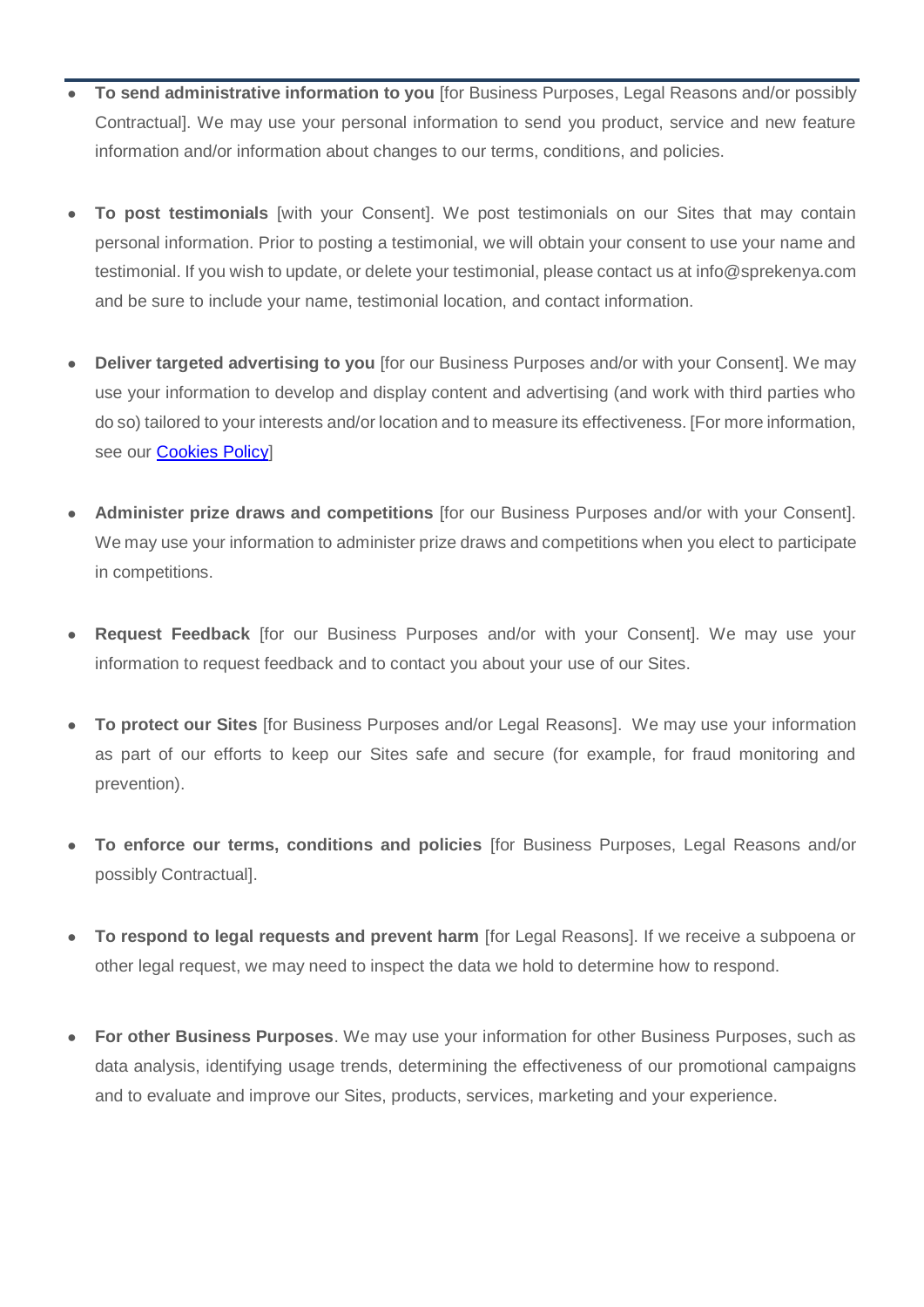- **To send administrative information to you** [for Business Purposes, Legal Reasons and/or possibly Contractual]. We may use your personal information to send you product, service and new feature information and/or information about changes to our terms, conditions, and policies.
- **To post testimonials** [with your Consent]. We post testimonials on our Sites that may contain personal information. Prior to posting a testimonial, we will obtain your consent to use your name and testimonial. If you wish to update, or delete your testimonial, please contact us at info@sprekenya.com and be sure to include your name, testimonial location, and contact information.
- **Deliver targeted advertising to you** [for our Business Purposes and/or with your Consent]. We may use your information to develop and display content and advertising (and work with third parties who do so) tailored to your interests and/or location and to measure its effectiveness. [For more information, see our **Cookies Policy**]
- **Administer prize draws and competitions** [for our Business Purposes and/or with your Consent]. We may use your information to administer prize draws and competitions when you elect to participate in competitions.
- **Request Feedback** [for our Business Purposes and/or with your Consent]. We may use your information to request feedback and to contact you about your use of our Sites.
- **To protect our Sites** [for Business Purposes and/or Legal Reasons]. We may use your information as part of our efforts to keep our Sites safe and secure (for example, for fraud monitoring and prevention).
- **To enforce our terms, conditions and policies** [for Business Purposes, Legal Reasons and/or possibly Contractual].
- **To respond to legal requests and prevent harm** [for Legal Reasons]. If we receive a subpoena or other legal request, we may need to inspect the data we hold to determine how to respond.
- **For other Business Purposes**. We may use your information for other Business Purposes, such as data analysis, identifying usage trends, determining the effectiveness of our promotional campaigns and to evaluate and improve our Sites, products, services, marketing and your experience.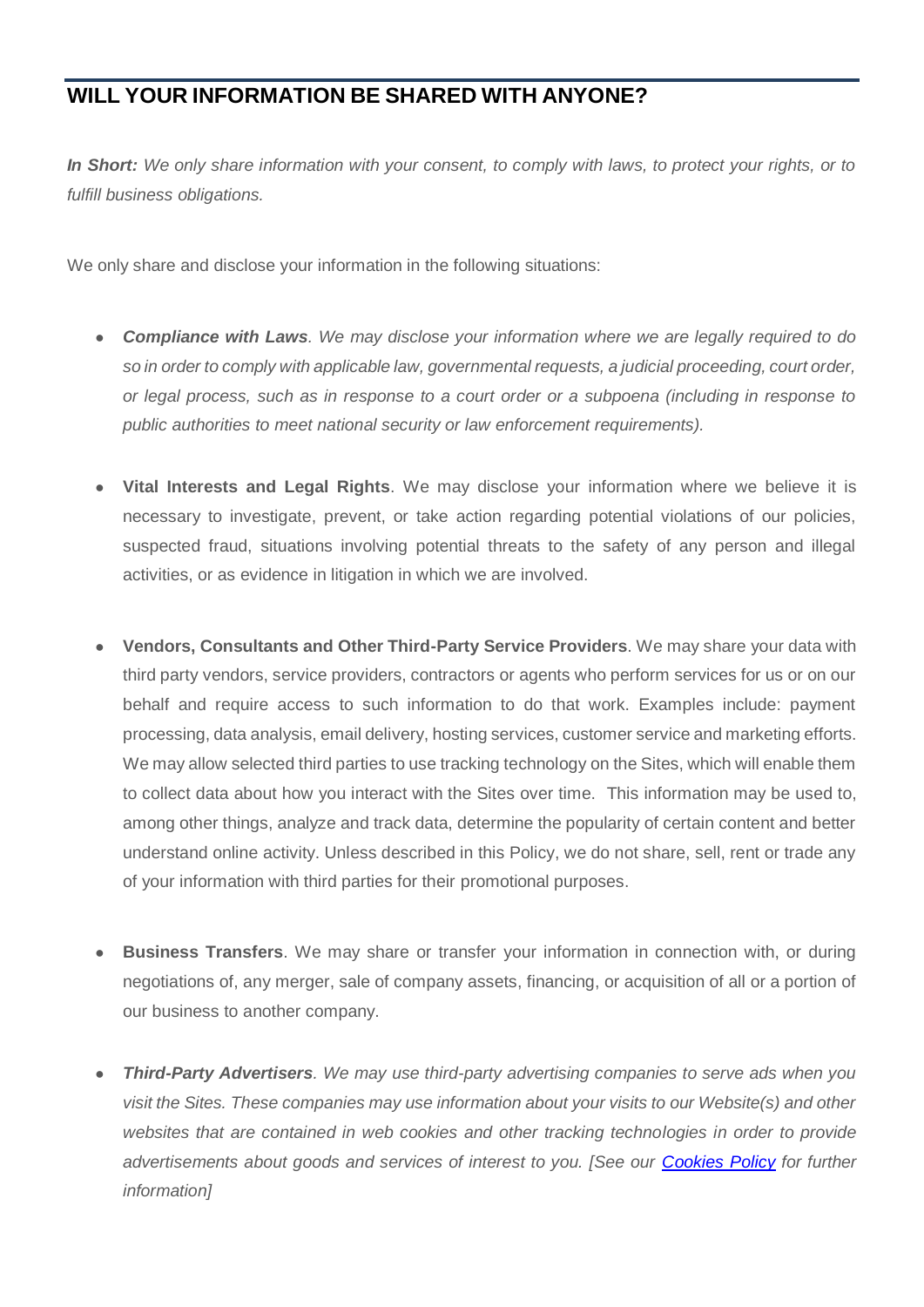#### **WILL YOUR INFORMATION BE SHARED WITH ANYONE?**

*In Short: We only share information with your consent, to comply with laws, to protect your rights, or to fulfill business obligations.* 

We only share and disclose your information in the following situations:

- *Compliance with Laws. We may disclose your information where we are legally required to do so in order to comply with applicable law, governmental requests, a judicial proceeding, court order, or legal process, such as in response to a court order or a subpoena (including in response to public authorities to meet national security or law enforcement requirements).*
- **Vital Interests and Legal Rights**. We may disclose your information where we believe it is necessary to investigate, prevent, or take action regarding potential violations of our policies, suspected fraud, situations involving potential threats to the safety of any person and illegal activities, or as evidence in litigation in which we are involved.
- **Vendors, Consultants and Other Third-Party Service Providers**. We may share your data with third party vendors, service providers, contractors or agents who perform services for us or on our behalf and require access to such information to do that work. Examples include: payment processing, data analysis, email delivery, hosting services, customer service and marketing efforts. We may allow selected third parties to use tracking technology on the Sites, which will enable them to collect data about how you interact with the Sites over time. This information may be used to, among other things, analyze and track data, determine the popularity of certain content and better understand online activity. Unless described in this Policy, we do not share, sell, rent or trade any of your information with third parties for their promotional purposes.
- **Business Transfers.** We may share or transfer your information in connection with, or during negotiations of, any merger, sale of company assets, financing, or acquisition of all or a portion of our business to another company.
- *Third-Party Advertisers. We may use third-party advertising companies to serve ads when you visit the Sites. These companies may use information about your visits to our Website(s) and other websites that are contained in web cookies and other tracking technologies in order to provide advertisements about goods and services of interest to you. [See our [Cookies](https://sprekenya.com/assets/documents/cookies-policy/cookies-policy.pdf) Policy for further information]*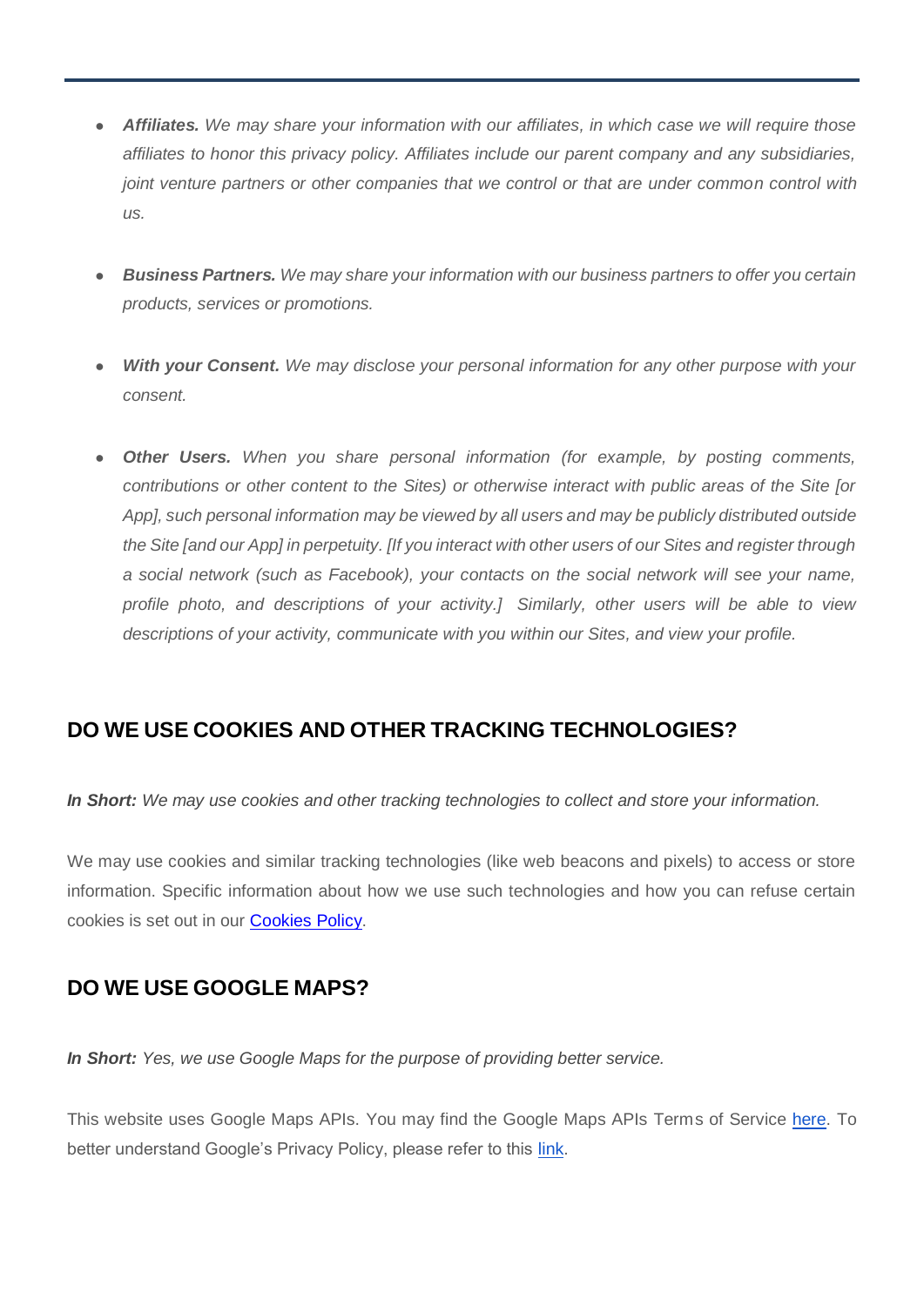- *Affiliates. We may share your information with our affiliates, in which case we will require those affiliates to honor this privacy policy. Affiliates include our parent company and any subsidiaries, joint venture partners or other companies that we control or that are under common control with us.*
- *Business Partners. We may share your information with our business partners to offer you certain products, services or promotions.*
- *With your Consent.* We may disclose your personal information for any other purpose with your *consent.*
- **Other Users.** When you share personal information (for example, by posting comments, *contributions or other content to the Sites) or otherwise interact with public areas of the Site [or App], such personal information may be viewed by all users and may be publicly distributed outside the Site [and our App] in perpetuity. [If you interact with other users of our Sites and register through a social network (such as Facebook), your contacts on the social network will see your name, profile photo, and descriptions of your activity.] Similarly, other users will be able to view descriptions of your activity, communicate with you within our Sites, and view your profile.*

## **DO WE USE COOKIES AND OTHER TRACKING TECHNOLOGIES?**

*In Short: We may use cookies and other tracking technologies to collect and store your information.*

We may use cookies and similar tracking technologies (like web beacons and pixels) to access or store information. Specific information about how we use such technologies and how you can refuse certain cookies is set out in our [Cookies](https://sprekenya.com/assets/documents/cookies-policy/cookies-policy.pdf) Policy.

#### **DO WE USE GOOGLE MAPS?**

*In Short: Yes, we use Google Maps for the purpose of providing better service.*

This website uses Google Maps APIs. You may find the Google Maps APIs Terms of Service [here.](https://developers.google.com/maps/terms) To better understand Google's Privacy Policy, please refer to this [link.](https://www.google.com/policies/privacy/)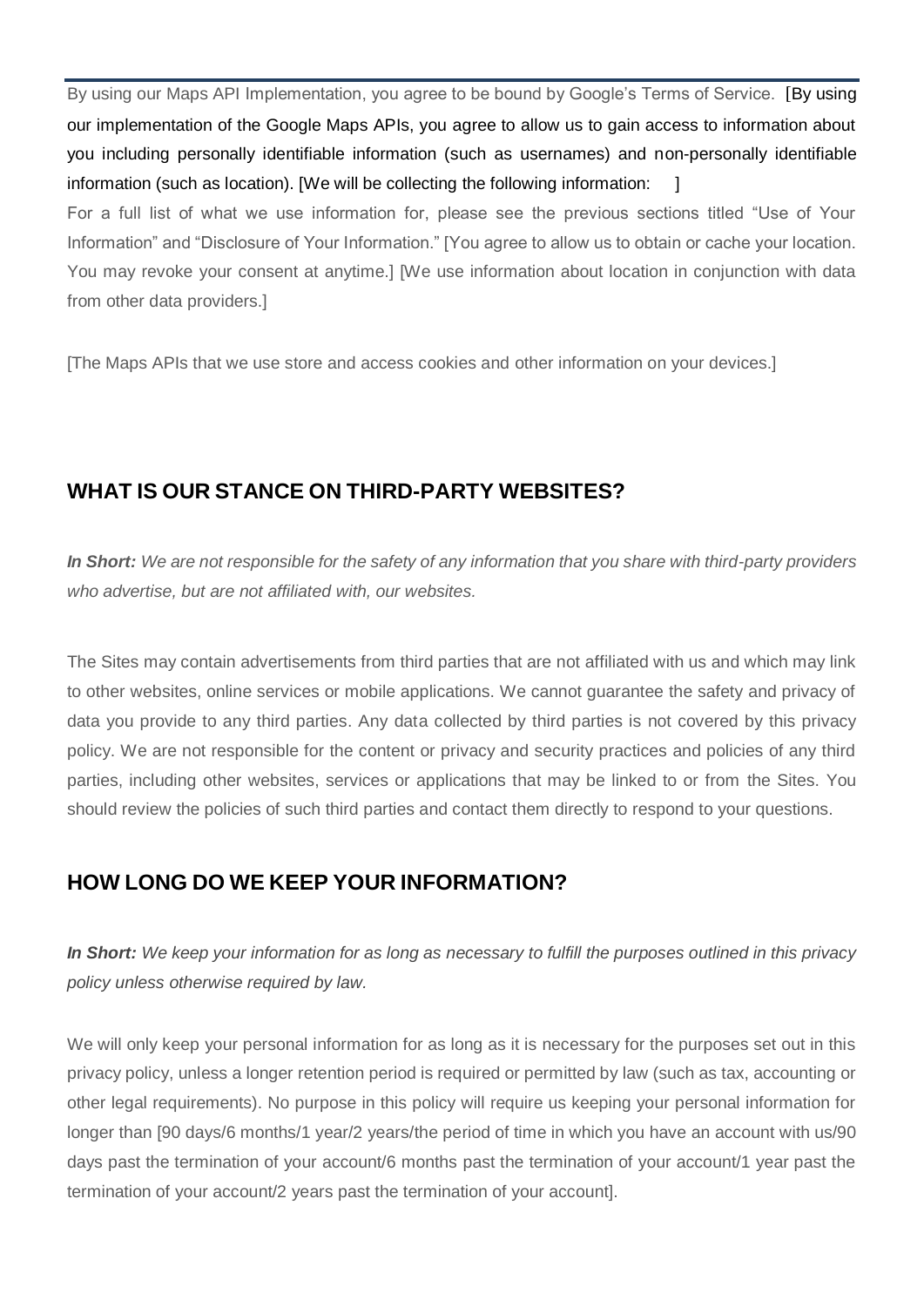By using our Maps API Implementation, you agree to be bound by Google's Terms of Service. [By using our implementation of the Google Maps APIs, you agree to allow us to gain access to information about you including personally identifiable information (such as usernames) and non-personally identifiable information (such as location). [We will be collecting the following information:  $\Box$ 

For a full list of what we use information for, please see the previous sections titled "Use of Your Information" and "Disclosure of Your Information." [You agree to allow us to obtain or cache your location. You may revoke your consent at anytime.] [We use information about location in conjunction with data from other data providers.]

[The Maps APIs that we use store and access cookies and other information on your devices.]

#### **WHAT IS OUR STANCE ON THIRD-PARTY WEBSITES?**

*In Short: We are not responsible for the safety of any information that you share with third-party providers who advertise, but are not affiliated with, our websites.* 

The Sites may contain advertisements from third parties that are not affiliated with us and which may link to other websites, online services or mobile applications. We cannot guarantee the safety and privacy of data you provide to any third parties. Any data collected by third parties is not covered by this privacy policy. We are not responsible for the content or privacy and security practices and policies of any third parties, including other websites, services or applications that may be linked to or from the Sites. You should review the policies of such third parties and contact them directly to respond to your questions.

#### **HOW LONG DO WE KEEP YOUR INFORMATION?**

*In Short: We keep your information for as long as necessary to fulfill the purposes outlined in this privacy policy unless otherwise required by law.* 

We will only keep your personal information for as long as it is necessary for the purposes set out in this privacy policy, unless a longer retention period is required or permitted by law (such as tax, accounting or other legal requirements). No purpose in this policy will require us keeping your personal information for longer than [90 days/6 months/1 year/2 years/the period of time in which you have an account with us/90 days past the termination of your account/6 months past the termination of your account/1 year past the termination of your account/2 years past the termination of your account].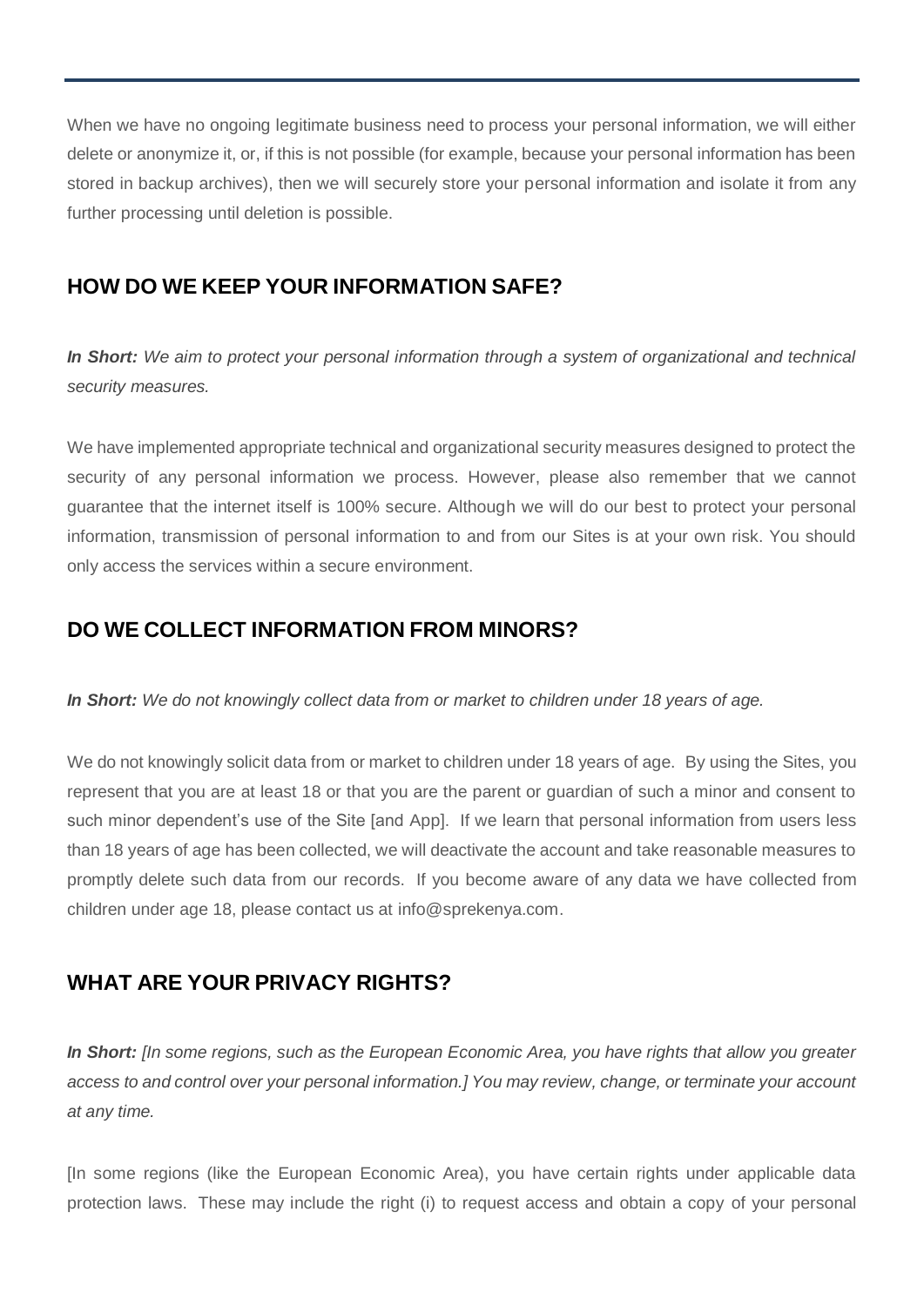When we have no ongoing legitimate business need to process your personal information, we will either delete or anonymize it, or, if this is not possible (for example, because your personal information has been stored in backup archives), then we will securely store your personal information and isolate it from any further processing until deletion is possible.

#### **HOW DO WE KEEP YOUR INFORMATION SAFE?**

*In Short: We aim to protect your personal information through a system of organizational and technical security measures.* 

We have implemented appropriate technical and organizational security measures designed to protect the security of any personal information we process. However, please also remember that we cannot guarantee that the internet itself is 100% secure. Although we will do our best to protect your personal information, transmission of personal information to and from our Sites is at your own risk. You should only access the services within a secure environment.

#### **DO WE COLLECT INFORMATION FROM MINORS?**

*In Short: We do not knowingly collect data from or market to children under 18 years of age.*

We do not knowingly solicit data from or market to children under 18 years of age. By using the Sites, you represent that you are at least 18 or that you are the parent or guardian of such a minor and consent to such minor dependent's use of the Site [and App]. If we learn that personal information from users less than 18 years of age has been collected, we will deactivate the account and take reasonable measures to promptly delete such data from our records. If you become aware of any data we have collected from children under age 18, please contact us at info@sprekenya.com.

## **WHAT ARE YOUR PRIVACY RIGHTS?**

*In Short: [In some regions, such as the European Economic Area, you have rights that allow you greater access to and control over your personal information.] You may review, change, or terminate your account at any time.* 

[In some regions (like the European Economic Area), you have certain rights under applicable data protection laws. These may include the right (i) to request access and obtain a copy of your personal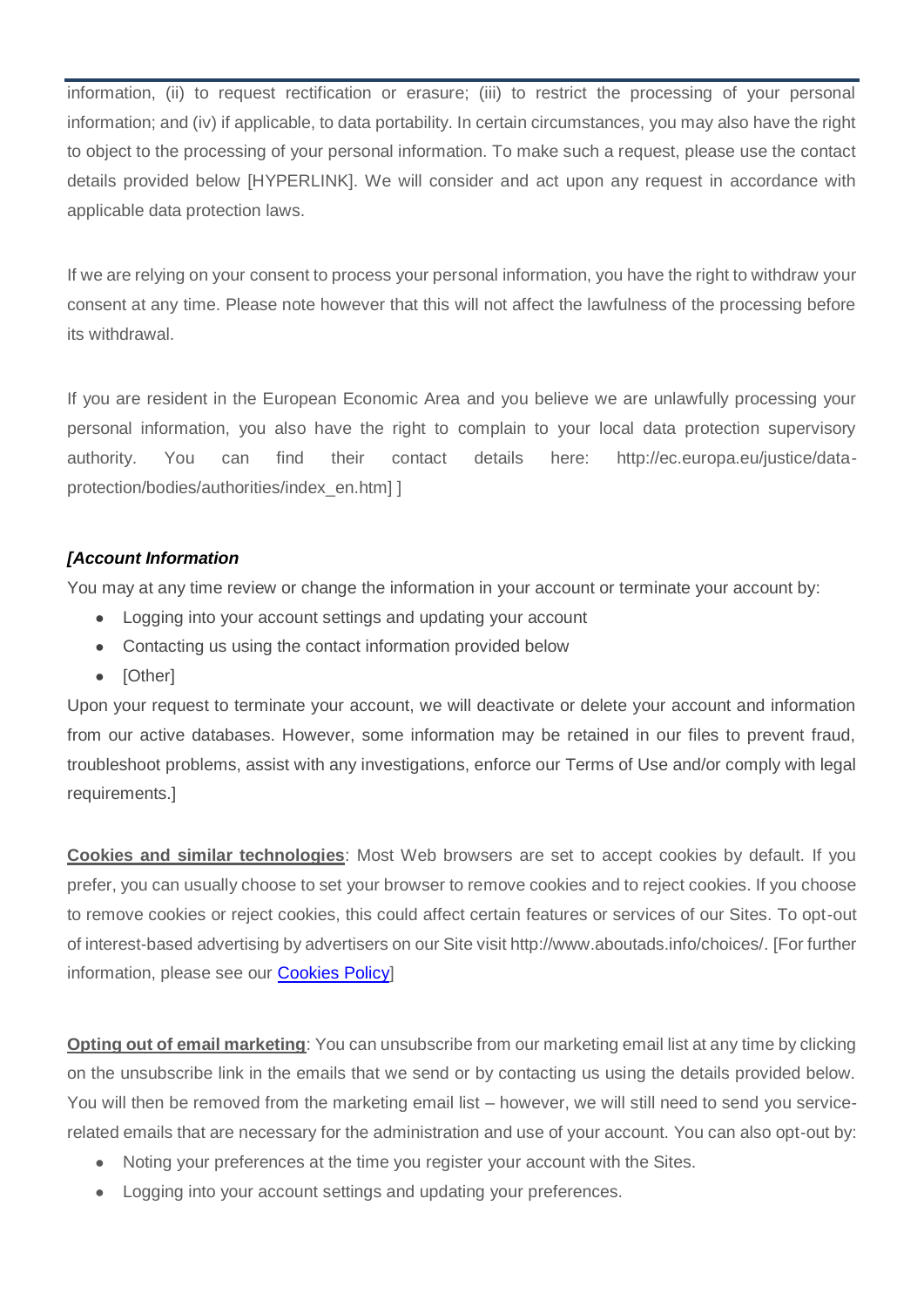information, (ii) to request rectification or erasure; (iii) to restrict the processing of your personal information; and (iv) if applicable, to data portability. In certain circumstances, you may also have the right to object to the processing of your personal information. To make such a request, please use the contact details provided below [HYPERLINK]. We will consider and act upon any request in accordance with applicable data protection laws.

If we are relying on your consent to process your personal information, you have the right to withdraw your consent at any time. Please note however that this will not affect the lawfulness of the processing before its withdrawal.

If you are resident in the European Economic Area and you believe we are unlawfully processing your personal information, you also have the right to complain to your local data protection supervisory authority. You can find their contact details here: http://ec.europa.eu/justice/dataprotection/bodies/authorities/index\_en.htm] ]

#### *[Account Information*

You may at any time review or change the information in your account or terminate your account by:

- Logging into your account settings and updating your account
- Contacting us using the contact information provided below
- [Other]

Upon your request to terminate your account, we will deactivate or delete your account and information from our active databases. However, some information may be retained in our files to prevent fraud, troubleshoot problems, assist with any investigations, enforce our Terms of Use and/or comply with legal requirements.]

**Cookies and similar technologies**: Most Web browsers are set to accept cookies by default. If you prefer, you can usually choose to set your browser to remove cookies and to reject cookies. If you choose to remove cookies or reject cookies, this could affect certain features or services of our Sites. To opt-out of interest-based advertising by advertisers on our Site visit http://www.aboutads.info/choices/. [For further information, please see our [Cookies](https://sprekenya.com/assets/documents/cookies-policy/cookies-policy.pdf) Policy]

**Opting out of email marketing**: You can unsubscribe from our marketing email list at any time by clicking on the unsubscribe link in the emails that we send or by contacting us using the details provided below. You will then be removed from the marketing email list – however, we will still need to send you servicerelated emails that are necessary for the administration and use of your account. You can also opt-out by:

- Noting your preferences at the time you register your account with the Sites.
- Logging into your account settings and updating your preferences.